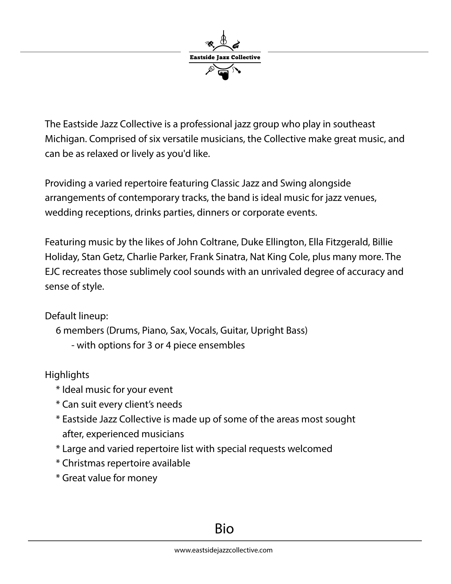

The Eastside Jazz Collective is a professional jazz group who play in southeast Michigan. Comprised of six versatile musicians, the Collective make great music, and can be as relaxed or lively as you'd like.

Providing a varied repertoire featuring Classic Jazz and Swing alongside arrangements of contemporary tracks, the band is ideal music for jazz venues, wedding receptions, drinks parties, dinners or corporate events.

Featuring music by the likes of John Coltrane, Duke Ellington, Ella Fitzgerald, Billie Holiday, Stan Getz, Charlie Parker, Frank Sinatra, Nat King Cole, plus many more. The EJC recreates those sublimely cool sounds with an unrivaled degree of accuracy and sense of style.

Default lineup:

```
 6 members (Drums, Piano, Sax, Vocals, Guitar, Upright Bass)
- with options for 3 or 4 piece ensembles
```
**Highlights** 

- \* Ideal music for your event
- \* Can suit every client's needs
- \* Eastside Jazz Collective is made up of some of the areas most sought after, experienced musicians
- \* Large and varied repertoire list with special requests welcomed
- \* Christmas repertoire available
- \* Great value for money

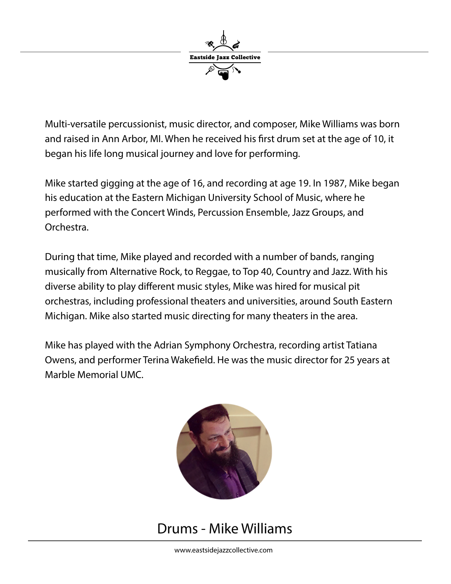

 Multi-versatile percussionist, music director, and composer, Mike Williams was born and raised in Ann Arbor, MI. When he received his first drum set at the age of 10, it began his life long musical journey and love for performing.

Mike started gigging at the age of 16, and recording at age 19. In 1987, Mike began his education at the Eastern Michigan University School of Music, where he performed with the Concert Winds, Percussion Ensemble, Jazz Groups, and Orchestra.

During that time, Mike played and recorded with a number of bands, ranging musically from Alternative Rock, to Reggae, to Top 40, Country and Jazz. With his diverse ability to play different music styles, Mike was hired for musical pit orchestras, including professional theaters and universities, around South Eastern Michigan. Mike also started music directing for many theaters in the area.

Mike has played with the Adrian Symphony Orchestra, recording artist Tatiana Owens, and performer Terina Wakefield. He was the music director for 25 years at Marble Memorial UMC.



# Drums - Mike Williams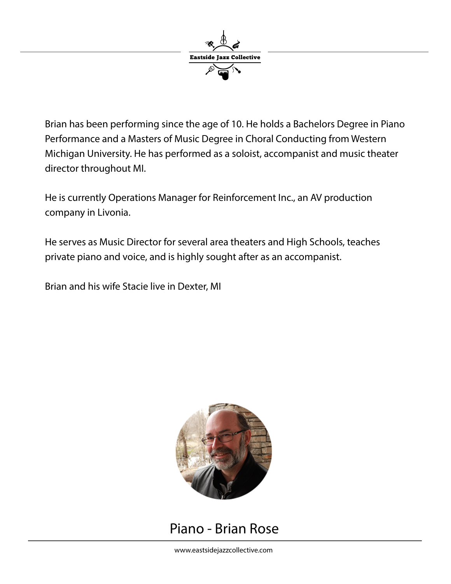

Brian has been performing since the age of 10. He holds a Bachelors Degree in Piano Performance and a Masters of Music Degree in Choral Conducting from Western Michigan University. He has performed as a soloist, accompanist and music theater director throughout MI.

He is currently Operations Manager for Reinforcement Inc., an AV production company in Livonia.

He serves as Music Director for several area theaters and High Schools, teaches private piano and voice, and is highly sought after as an accompanist.

Brian and his wife Stacie live in Dexter, MI



## Piano - Brian Rose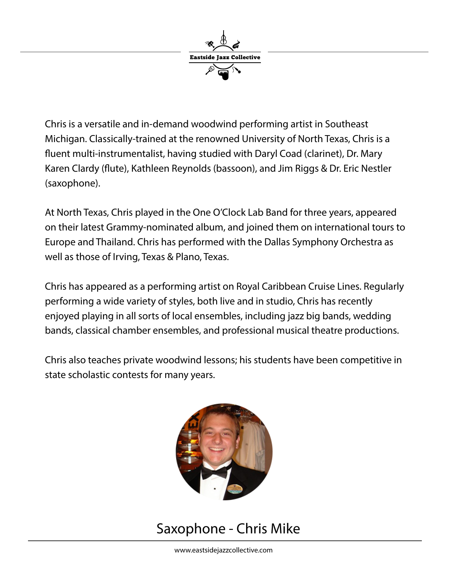

Chris is a versatile and in-demand woodwind performing artist in Southeast Michigan. Classically-trained at the renowned University of North Texas, Chris is a fluent multi-instrumentalist, having studied with Daryl Coad (clarinet), Dr. Mary Karen Clardy (flute), Kathleen Reynolds (bassoon), and Jim Riggs & Dr. Eric Nestler (saxophone).

At North Texas, Chris played in the One O'Clock Lab Band for three years, appeared on their latest Grammy-nominated album, and joined them on international tours to Europe and Thailand. Chris has performed with the Dallas Symphony Orchestra as well as those of Irving, Texas & Plano, Texas.

Chris has appeared as a performing artist on Royal Caribbean Cruise Lines. Regularly performing a wide variety of styles, both live and in studio, Chris has recently enjoyed playing in all sorts of local ensembles, including jazz big bands, wedding bands, classical chamber ensembles, and professional musical theatre productions.

 Chris also teaches private woodwind lessons; his students have been competitive in state scholastic contests for many years.



# Saxophone - Chris Mike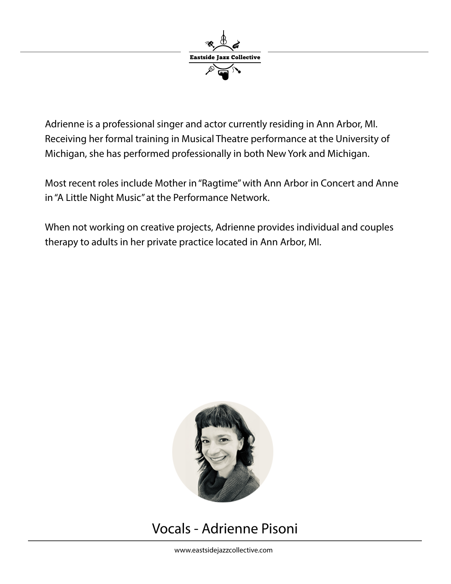

 Adrienne is a professional singer and actor currently residing in Ann Arbor, MI. Receiving her formal training in Musical Theatre performance at the University of Michigan, she has performed professionally in both New York and Michigan.

Most recent roles include Mother in "Ragtime" with Ann Arbor in Concert and Anne in "A Little Night Music" at the Performance Network.

When not working on creative projects, Adrienne provides individual and couples therapy to adults in her private practice located in Ann Arbor, MI.



# Vocals - Adrienne Pisoni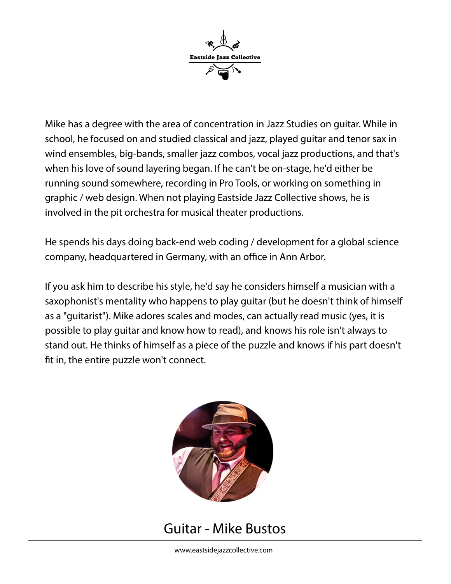

Mike has a degree with the area of concentration in Jazz Studies on guitar. While in school, he focused on and studied classical and jazz, played guitar and tenor sax in wind ensembles, big-bands, smaller jazz combos, vocal jazz productions, and that's when his love of sound layering began. If he can't be on-stage, he'd either be running sound somewhere, recording in Pro Tools, or working on something in graphic / web design. When not playing Eastside Jazz Collective shows, he is involved in the pit orchestra for musical theater productions.

He spends his days doing back-end web coding / development for a global science company, headquartered in Germany, with an office in Ann Arbor.

If you ask him to describe his style, he'd say he considers himself a musician with a saxophonist's mentality who happens to play guitar (but he doesn't think of himself as a "guitarist"). Mike adores scales and modes, can actually read music (yes, it is possible to play guitar and know how to read), and knows his role isn't always to stand out. He thinks of himself as a piece of the puzzle and knows if his part doesn't fit in, the entire puzzle won't connect.



# Guitar - Mike Bustos